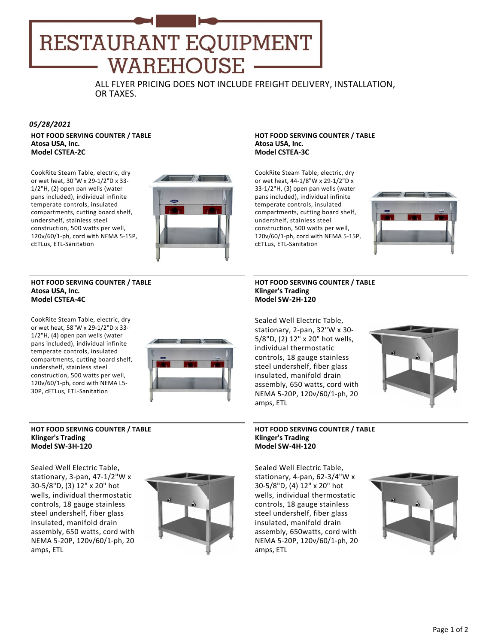# RESTAURANT EQUIPMENT WAREHOUSE

ALL FLYER PRICING DOES NOT INCLUDE FREIGHT DELIVERY, INSTALLATION, OR TAXES.

# *05/28/2021*

**HOT FOOD SERVING COUNTER / TABLE Atosa USA, Inc. Model CSTEA‐2C**

CookRite Steam Table, electric, dry or wet heat, 30"W x 29‐1/2"D x 33‐ 1/2"H, (2) open pan wells (water pans included), individual infinite temperate controls, insulated compartments, cutting board shelf, undershelf, stainless steel construction, 500 watts per well, 120v/60/1‐ph, cord with NEMA 5‐15P, cETLus, ETL‐Sanitation



# **HOT FOOD SERVING COUNTER / TABLE Atosa USA, Inc. Model CSTEA‐4C**

CookRite Steam Table, electric, dry or wet heat, 58"W x 29‐1/2"D x 33‐ 1/2"H, (4) open pan wells (water pans included), individual infinite temperate controls, insulated compartments, cutting board shelf, undershelf, stainless steel construction, 500 watts per well, 120v/60/1‐ph, cord with NEMA L5‐ 30P, cETLus, ETL‐Sanitation



# **HOT FOOD SERVING COUNTER / TABLE Klinger's Trading Model SW‐3H‐120**

Sealed Well Electric Table, stationary, 3‐pan, 47‐1/2"W x 30‐5/8"D, (3) 12" x 20" hot wells, individual thermostatic controls, 18 gauge stainless steel undershelf, fiber glass insulated, manifold drain assembly, 650 watts, cord with NEMA 5‐20P, 120v/60/1‐ph, 20 amps, ETL



# **HOT FOOD SERVING COUNTER / TABLE Atosa USA, Inc. Model CSTEA‐3C**

CookRite Steam Table, electric, dry or wet heat, 44‐1/8"W x 29‐1/2"D x 33‐1/2"H, (3) open pan wells (water pans included), individual infinite temperate controls, insulated compartments, cutting board shelf, undershelf, stainless steel construction, 500 watts per well, 120v/60/1‐ph, cord with NEMA 5‐15P, cETLus, ETL‐Sanitation



# **HOT FOOD SERVING COUNTER / TABLE Klinger's Trading Model SW‐2H‐120**

Sealed Well Electric Table, stationary, 2‐pan, 32"W x 30‐ 5/8"D, (2) 12" x 20" hot wells, individual thermostatic controls, 18 gauge stainless steel undershelf, fiber glass insulated, manifold drain assembly, 650 watts, cord with NEMA 5‐20P, 120v/60/1‐ph, 20 amps, ETL



#### **HOT FOOD SERVING COUNTER / TABLE Klinger's Trading Model SW‐4H‐120**

Sealed Well Electric Table, stationary, 4‐pan, 62‐3/4"W x 30‐5/8"D, (4) 12" x 20" hot wells, individual thermostatic controls, 18 gauge stainless steel undershelf, fiber glass insulated, manifold drain assembly, 650watts, cord with NEMA 5‐20P, 120v/60/1‐ph, 20 amps, ETL